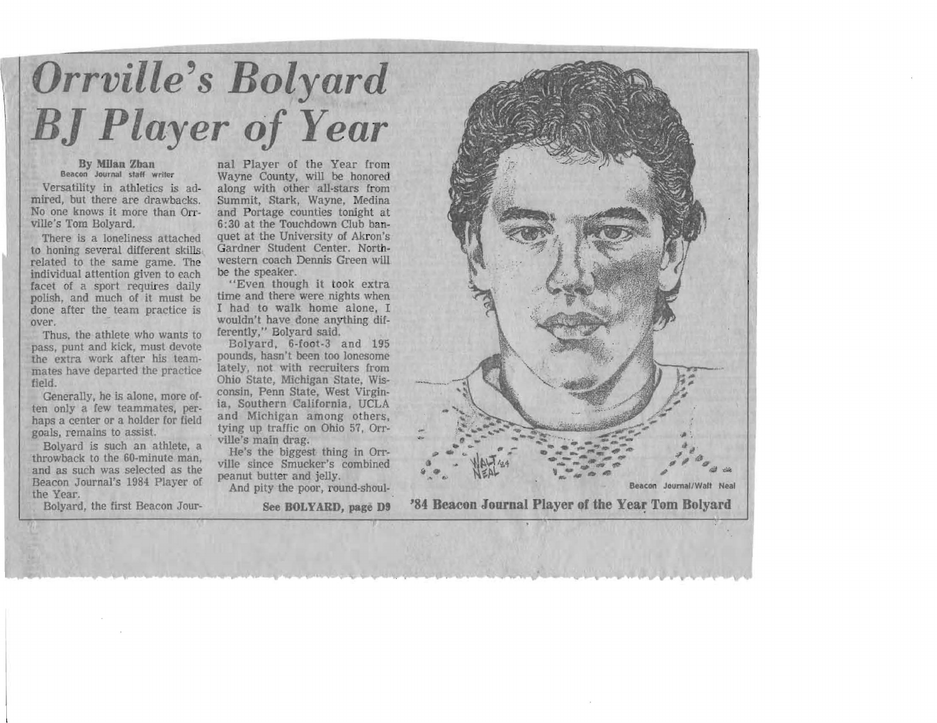## Orrville's Bolyard *J Player of Year*

## By M1Ian Zban Beacon Journal staff writer

Versatility in athletics is admired, but there are drawbacks. No one knows it more than Orr ville's Tom Bolyard.

There is a loneliness attached to honing several different skills· related to the same game. The individual attention given to each facet of a sport requires daily polish, and much of it must be done after the team practice is over.

Thus. the athlete who wants to pass, punt and kick, must devote the extra work after his teammates have departed the practice field.

Generally, he is alone, more often only a few teammates. perhaps a center or a holder for field goals, remains to assist

Bolyard is such an athlete, a throwback to the SO-minute man, and as such was selected as the Beacon Journal's 1984 Player of the Year. Bolyard, the first Beacon Jour-

nal Player of the Year from Wayne County, will be honored along with other all-stars from Summit, Stark, Wayne, Medina and Portage counties tonight at  $6:30$  at the Touchdown Club banquet at the University of Akron's Gardner Student Center. Northwestern coach Dennis Green will be the speaker.

"Even though it took extra time and there were nights when I had to walk home alone, I wouldn't have done anything differently," Bolyard said.

Bolyard, 6-foot-3 and 195 pounds, hasn't been too lonesome lately, not with recruiters from Ohio State, Michigan State, Wisconsin, Penn State, West Virginia, Southern California. UCLA and Michigan among others, tying up traffic on Ohio 57, Orr-<br>ville's main drag.

He's the biggest thing in Orrville since Smucker's combined peanut butter and jelly.

And pity the poor, round-shoul-



 $\sim$ **fP.-** ~~., .,# ..... ....... . ... . .. .~ ..., :: .... ..,.....-.,.~~ ......~""" .. " " .p .. <- , . - ......,. - -\_... .... " 1~1,..oI'f." ~.""I''' ... --"". - '" ik .. \_--' . 4f' .e ... • ...,,1 - - .. . -'" ~, I/ItIi;I>!ljo ~ ~ ~~~ ~ ~ ~ ~ ... ,,,,,"' BeacOl'l JOllmallWall Neal '84 Beacon Journal Player of the Year Tom Bolyard